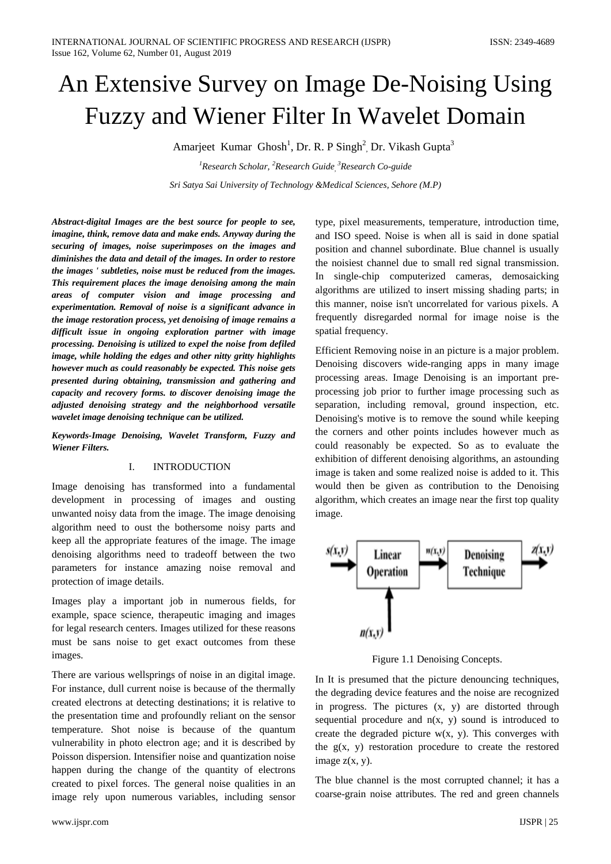# An Extensive Survey on Image De-Noising Using Fuzzy and Wiener Filter In Wavelet Domain

Amarjeet Kumar Ghosh<sup>1</sup>, Dr. R. P Singh<sup>2</sup>, Dr. Vikash Gupta<sup>3</sup>

*1 Research Scholar, <sup>2</sup> Research Guide, 3 Research Co-guide Sri Satya Sai University of Technology &Medical Sciences, Sehore (M.P)*

*Abstract-digital Images are the best source for people to see, imagine, think, remove data and make ends. Anyway during the securing of images, noise superimposes on the images and diminishes the data and detail of the images. In order to restore the images ' subtleties, noise must be reduced from the images. This requirement places the image denoising among the main areas of computer vision and image processing and experimentation. Removal of noise is a significant advance in the image restoration process, yet denoising of image remains a difficult issue in ongoing exploration partner with image processing. Denoising is utilized to expel the noise from defiled image, while holding the edges and other nitty gritty highlights however much as could reasonably be expected. This noise gets presented during obtaining, transmission and gathering and capacity and recovery forms. to discover denoising image the adjusted denoising strategy and the neighborhood versatile wavelet image denoising technique can be utilized.*

*Keywords-Image Denoising, Wavelet Transform, Fuzzy and Wiener Filters.*

#### I. INTRODUCTION

Image denoising has transformed into a fundamental development in processing of images and ousting unwanted noisy data from the image. The image denoising algorithm need to oust the bothersome noisy parts and keep all the appropriate features of the image. The image denoising algorithms need to tradeoff between the two parameters for instance amazing noise removal and protection of image details.

Images play a important job in numerous fields, for example, space science, therapeutic imaging and images for legal research centers. Images utilized for these reasons must be sans noise to get exact outcomes from these images.

There are various wellsprings of noise in an digital image. For instance, dull current noise is because of the thermally created electrons at detecting destinations; it is relative to the presentation time and profoundly reliant on the sensor temperature. Shot noise is because of the quantum vulnerability in photo electron age; and it is described by Poisson dispersion. Intensifier noise and quantization noise happen during the change of the quantity of electrons created to pixel forces. The general noise qualities in an image rely upon numerous variables, including sensor

type, pixel measurements, temperature, introduction time, and ISO speed. Noise is when all is said in done spatial position and channel subordinate. Blue channel is usually the noisiest channel due to small red signal transmission. In single-chip computerized cameras, demosaicking algorithms are utilized to insert missing shading parts; in this manner, noise isn't uncorrelated for various pixels. A frequently disregarded normal for image noise is the spatial frequency.

Efficient Removing noise in an picture is a major problem. Denoising discovers wide-ranging apps in many image processing areas. Image Denoising is an important preprocessing job prior to further image processing such as separation, including removal, ground inspection, etc. Denoising's motive is to remove the sound while keeping the corners and other points includes however much as could reasonably be expected. So as to evaluate the exhibition of different denoising algorithms, an astounding image is taken and some realized noise is added to it. This would then be given as contribution to the Denoising algorithm, which creates an image near the first top quality image.



Figure 1.1 Denoising Concepts.

In It is presumed that the picture denouncing techniques, the degrading device features and the noise are recognized in progress. The pictures (x, y) are distorted through sequential procedure and  $n(x, y)$  sound is introduced to create the degraded picture  $w(x, y)$ . This converges with the  $g(x, y)$  restoration procedure to create the restored image  $z(x, y)$ .

The blue channel is the most corrupted channel; it has a coarse-grain noise attributes. The red and green channels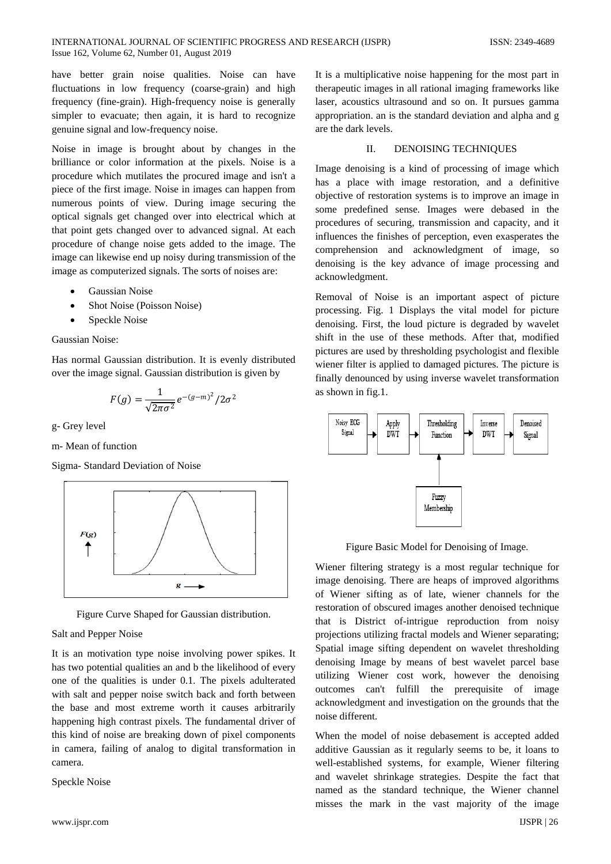have better grain noise qualities. Noise can have fluctuations in low frequency (coarse-grain) and high frequency (fine-grain). High-frequency noise is generally simpler to evacuate; then again, it is hard to recognize genuine signal and low-frequency noise.

Noise in image is brought about by changes in the brilliance or color information at the pixels. Noise is a procedure which mutilates the procured image and isn't a piece of the first image. Noise in images can happen from numerous points of view. During image securing the optical signals get changed over into electrical which at that point gets changed over to advanced signal. At each procedure of change noise gets added to the image. The image can likewise end up noisy during transmission of the image as computerized signals. The sorts of noises are:

- Gaussian Noise
- Shot Noise (Poisson Noise)
- Speckle Noise

## Gaussian Noise:

Has normal Gaussian distribution. It is evenly distributed over the image signal. Gaussian distribution is given by

$$
F(g) = \frac{1}{\sqrt{2\pi\sigma^2}} e^{-(g-m)^2} / 2\sigma^2
$$

g- Grey level

m- Mean of function

Sigma- Standard Deviation of Noise



Figure Curve Shaped for Gaussian distribution.

# Salt and Pepper Noise

It is an motivation type noise involving power spikes. It has two potential qualities an and b the likelihood of every one of the qualities is under 0.1. The pixels adulterated with salt and pepper noise switch back and forth between the base and most extreme worth it causes arbitrarily happening high contrast pixels. The fundamental driver of this kind of noise are breaking down of pixel components in camera, failing of analog to digital transformation in camera.

Speckle Noise

It is a multiplicative noise happening for the most part in therapeutic images in all rational imaging frameworks like laser, acoustics ultrasound and so on. It pursues gamma appropriation. an is the standard deviation and alpha and g are the dark levels.

# II. DENOISING TECHNIQUES

Image denoising is a kind of processing of image which has a place with image restoration, and a definitive objective of restoration systems is to improve an image in some predefined sense. Images were debased in the procedures of securing, transmission and capacity, and it influences the finishes of perception, even exasperates the comprehension and acknowledgment of image, so denoising is the key advance of image processing and acknowledgment.

Removal of Noise is an important aspect of picture processing. Fig. 1 Displays the vital model for picture denoising. First, the loud picture is degraded by wavelet shift in the use of these methods. After that, modified pictures are used by thresholding psychologist and flexible wiener filter is applied to damaged pictures. The picture is finally denounced by using inverse wavelet transformation as shown in fig.1.



Figure Basic Model for Denoising of Image.

Wiener filtering strategy is a most regular technique for image denoising. There are heaps of improved algorithms of Wiener sifting as of late, wiener channels for the restoration of obscured images another denoised technique that is District of-intrigue reproduction from noisy projections utilizing fractal models and Wiener separating; Spatial image sifting dependent on wavelet thresholding denoising Image by means of best wavelet parcel base utilizing Wiener cost work, however the denoising outcomes can't fulfill the prerequisite of image acknowledgment and investigation on the grounds that the noise different.

When the model of noise debasement is accepted added additive Gaussian as it regularly seems to be, it loans to well-established systems, for example, Wiener filtering and wavelet shrinkage strategies. Despite the fact that named as the standard technique, the Wiener channel misses the mark in the vast majority of the image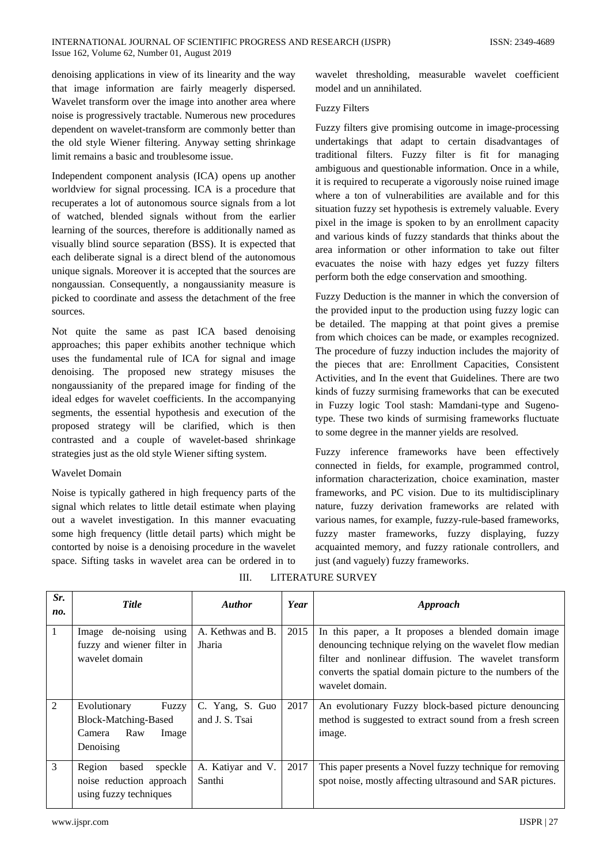#### INTERNATIONAL JOURNAL OF SCIENTIFIC PROGRESS AND RESEARCH (IJSPR) ISSN: 2349-4689 Issue 162, Volume 62, Number 01, August 2019

denoising applications in view of its linearity and the way that image information are fairly meagerly dispersed. Wavelet transform over the image into another area where noise is progressively tractable. Numerous new procedures dependent on wavelet-transform are commonly better than the old style Wiener filtering. Anyway setting shrinkage limit remains a basic and troublesome issue.

Independent component analysis (ICA) opens up another worldview for signal processing. ICA is a procedure that recuperates a lot of autonomous source signals from a lot of watched, blended signals without from the earlier learning of the sources, therefore is additionally named as visually blind source separation (BSS). It is expected that each deliberate signal is a direct blend of the autonomous unique signals. Moreover it is accepted that the sources are nongaussian. Consequently, a nongaussianity measure is picked to coordinate and assess the detachment of the free sources.

Not quite the same as past ICA based denoising approaches; this paper exhibits another technique which uses the fundamental rule of ICA for signal and image denoising. The proposed new strategy misuses the nongaussianity of the prepared image for finding of the ideal edges for wavelet coefficients. In the accompanying segments, the essential hypothesis and execution of the proposed strategy will be clarified, which is then contrasted and a couple of wavelet-based shrinkage strategies just as the old style Wiener sifting system.

# Wavelet Domain

Noise is typically gathered in high frequency parts of the signal which relates to little detail estimate when playing out a wavelet investigation. In this manner evacuating some high frequency (little detail parts) which might be contorted by noise is a denoising procedure in the wavelet space. Sifting tasks in wavelet area can be ordered in to

wavelet thresholding, measurable wavelet coefficient model and un annihilated.

## Fuzzy Filters

Fuzzy filters give promising outcome in image-processing undertakings that adapt to certain disadvantages of traditional filters. Fuzzy filter is fit for managing ambiguous and questionable information. Once in a while, it is required to recuperate a vigorously noise ruined image where a ton of vulnerabilities are available and for this situation fuzzy set hypothesis is extremely valuable. Every pixel in the image is spoken to by an enrollment capacity and various kinds of fuzzy standards that thinks about the area information or other information to take out filter evacuates the noise with hazy edges yet fuzzy filters perform both the edge conservation and smoothing.

Fuzzy Deduction is the manner in which the conversion of the provided input to the production using fuzzy logic can be detailed. The mapping at that point gives a premise from which choices can be made, or examples recognized. The procedure of fuzzy induction includes the majority of the pieces that are: Enrollment Capacities, Consistent Activities, and In the event that Guidelines. There are two kinds of fuzzy surmising frameworks that can be executed in Fuzzy logic Tool stash: Mamdani-type and Sugenotype. These two kinds of surmising frameworks fluctuate to some degree in the manner yields are resolved.

Fuzzy inference frameworks have been effectively connected in fields, for example, programmed control, information characterization, choice examination, master frameworks, and PC vision. Due to its multidisciplinary nature, fuzzy derivation frameworks are related with various names, for example, fuzzy-rule-based frameworks, fuzzy master frameworks, fuzzy displaying, fuzzy acquainted memory, and fuzzy rationale controllers, and just (and vaguely) fuzzy frameworks.

| Sr.<br>no.   | <b>Title</b>                                                                         | <b>Author</b>                     | Year | Approach                                                                                                                                                                                                                                                |
|--------------|--------------------------------------------------------------------------------------|-----------------------------------|------|---------------------------------------------------------------------------------------------------------------------------------------------------------------------------------------------------------------------------------------------------------|
| $\mathbf{1}$ | Image de-noising using<br>fuzzy and wiener filter in<br>wavelet domain               | A. Kethwas and B.<br>Jharia       | 2015 | In this paper, a It proposes a blended domain image<br>denouncing technique relying on the wavelet flow median<br>filter and nonlinear diffusion. The wavelet transform<br>converts the spatial domain picture to the numbers of the<br>wavelet domain. |
| 2            | Evolutionary<br>Fuzzy<br>Block-Matching-Based<br>Raw<br>Image<br>Camera<br>Denoising | C. Yang, S. Guo<br>and J. S. Tsai | 2017 | An evolutionary Fuzzy block-based picture denouncing<br>method is suggested to extract sound from a fresh screen<br>image.                                                                                                                              |
| 3            | Region<br>speckle<br>based<br>noise reduction approach<br>using fuzzy techniques     | A. Katiyar and V.<br>Santhi       | 2017 | This paper presents a Novel fuzzy technique for removing<br>spot noise, mostly affecting ultrasound and SAR pictures.                                                                                                                                   |

III. LITERATURE SURVEY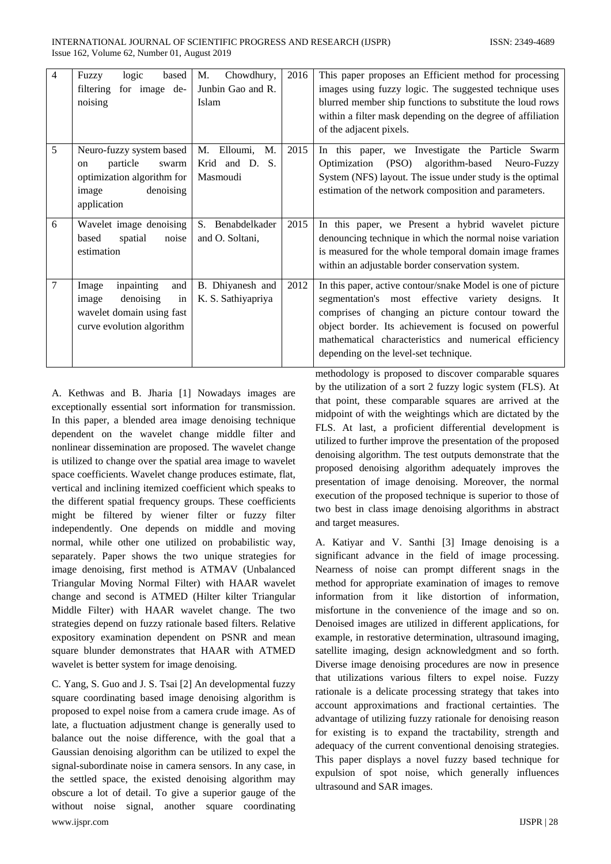| $\overline{4}$ | logic<br>based<br>Fuzzy<br>for image de-<br>filtering<br>noising                                                       | M.<br>Chowdhury,<br>Junbin Gao and R.<br>Islam  | 2016 | This paper proposes an Efficient method for processing<br>images using fuzzy logic. The suggested technique uses<br>blurred member ship functions to substitute the loud rows<br>within a filter mask depending on the degree of affiliation<br>of the adjacent pixels.                                                            |
|----------------|------------------------------------------------------------------------------------------------------------------------|-------------------------------------------------|------|------------------------------------------------------------------------------------------------------------------------------------------------------------------------------------------------------------------------------------------------------------------------------------------------------------------------------------|
| 5              | Neuro-fuzzy system based<br>particle<br>swarm<br>on<br>optimization algorithm for<br>image<br>denoising<br>application | M. Elloumi,<br>M.<br>Krid and D. S.<br>Masmoudi | 2015 | In this paper, we Investigate the Particle Swarm<br>(PSO)<br>algorithm-based Neuro-Fuzzy<br>Optimization<br>System (NFS) layout. The issue under study is the optimal<br>estimation of the network composition and parameters.                                                                                                     |
| 6              | Wavelet image denoising<br>based<br>spatial<br>noise<br>estimation                                                     | S.<br>Benabdelkader<br>and O. Soltani,          | 2015 | In this paper, we Present a hybrid wavelet picture<br>denouncing technique in which the normal noise variation<br>is measured for the whole temporal domain image frames<br>within an adjustable border conservation system.                                                                                                       |
| $\overline{7}$ | inpainting<br>and<br>Image<br>denoising<br>in<br>image<br>wavelet domain using fast<br>curve evolution algorithm       | B. Dhiyanesh and<br>K. S. Sathiyapriya          | 2012 | In this paper, active contour/snake Model is one of picture<br>segmentation's most effective variety designs. It<br>comprises of changing an picture contour toward the<br>object border. Its achievement is focused on powerful<br>mathematical characteristics and numerical efficiency<br>depending on the level-set technique. |

A. Kethwas and B. Jharia [1] Nowadays images are exceptionally essential sort information for transmission. In this paper, a blended area image denoising technique dependent on the wavelet change middle filter and nonlinear dissemination are proposed. The wavelet change is utilized to change over the spatial area image to wavelet space coefficients. Wavelet change produces estimate, flat, vertical and inclining itemized coefficient which speaks to the different spatial frequency groups. These coefficients might be filtered by wiener filter or fuzzy filter independently. One depends on middle and moving normal, while other one utilized on probabilistic way, separately. Paper shows the two unique strategies for image denoising, first method is ATMAV (Unbalanced Triangular Moving Normal Filter) with HAAR wavelet change and second is ATMED (Hilter kilter Triangular Middle Filter) with HAAR wavelet change. The two strategies depend on fuzzy rationale based filters. Relative expository examination dependent on PSNR and mean square blunder demonstrates that HAAR with ATMED wavelet is better system for image denoising.

www.ijspr.com IJSPR | 28 C. Yang, S. Guo and J. S. Tsai [2] An developmental fuzzy square coordinating based image denoising algorithm is proposed to expel noise from a camera crude image. As of late, a fluctuation adjustment change is generally used to balance out the noise difference, with the goal that a Gaussian denoising algorithm can be utilized to expel the signal-subordinate noise in camera sensors. In any case, in the settled space, the existed denoising algorithm may obscure a lot of detail. To give a superior gauge of the without noise signal, another square coordinating

methodology is proposed to discover comparable squares by the utilization of a sort 2 fuzzy logic system (FLS). At that point, these comparable squares are arrived at the midpoint of with the weightings which are dictated by the FLS. At last, a proficient differential development is utilized to further improve the presentation of the proposed denoising algorithm. The test outputs demonstrate that the proposed denoising algorithm adequately improves the presentation of image denoising. Moreover, the normal execution of the proposed technique is superior to those of two best in class image denoising algorithms in abstract and target measures.

A. Katiyar and V. Santhi [3] Image denoising is a significant advance in the field of image processing. Nearness of noise can prompt different snags in the method for appropriate examination of images to remove information from it like distortion of information, misfortune in the convenience of the image and so on. Denoised images are utilized in different applications, for example, in restorative determination, ultrasound imaging, satellite imaging, design acknowledgment and so forth. Diverse image denoising procedures are now in presence that utilizations various filters to expel noise. Fuzzy rationale is a delicate processing strategy that takes into account approximations and fractional certainties. The advantage of utilizing fuzzy rationale for denoising reason for existing is to expand the tractability, strength and adequacy of the current conventional denoising strategies. This paper displays a novel fuzzy based technique for expulsion of spot noise, which generally influences ultrasound and SAR images.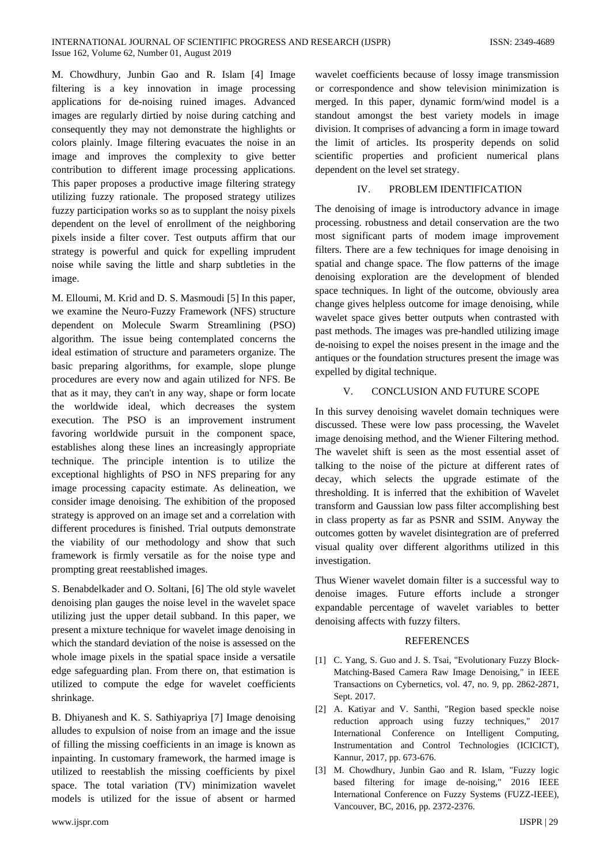M. Chowdhury, Junbin Gao and R. Islam [4] Image filtering is a key innovation in image processing applications for de-noising ruined images. Advanced images are regularly dirtied by noise during catching and consequently they may not demonstrate the highlights or colors plainly. Image filtering evacuates the noise in an image and improves the complexity to give better contribution to different image processing applications. This paper proposes a productive image filtering strategy utilizing fuzzy rationale. The proposed strategy utilizes fuzzy participation works so as to supplant the noisy pixels dependent on the level of enrollment of the neighboring pixels inside a filter cover. Test outputs affirm that our strategy is powerful and quick for expelling imprudent noise while saving the little and sharp subtleties in the image.

M. Elloumi, M. Krid and D. S. Masmoudi [5] In this paper, we examine the Neuro-Fuzzy Framework (NFS) structure dependent on Molecule Swarm Streamlining (PSO) algorithm. The issue being contemplated concerns the ideal estimation of structure and parameters organize. The basic preparing algorithms, for example, slope plunge procedures are every now and again utilized for NFS. Be that as it may, they can't in any way, shape or form locate the worldwide ideal, which decreases the system execution. The PSO is an improvement instrument favoring worldwide pursuit in the component space, establishes along these lines an increasingly appropriate technique. The principle intention is to utilize the exceptional highlights of PSO in NFS preparing for any image processing capacity estimate. As delineation, we consider image denoising. The exhibition of the proposed strategy is approved on an image set and a correlation with different procedures is finished. Trial outputs demonstrate the viability of our methodology and show that such framework is firmly versatile as for the noise type and prompting great reestablished images.

S. Benabdelkader and O. Soltani, [6] The old style wavelet denoising plan gauges the noise level in the wavelet space utilizing just the upper detail subband. In this paper, we present a mixture technique for wavelet image denoising in which the standard deviation of the noise is assessed on the whole image pixels in the spatial space inside a versatile edge safeguarding plan. From there on, that estimation is utilized to compute the edge for wavelet coefficients shrinkage.

B. Dhiyanesh and K. S. Sathiyapriya [7] Image denoising alludes to expulsion of noise from an image and the issue of filling the missing coefficients in an image is known as inpainting. In customary framework, the harmed image is utilized to reestablish the missing coefficients by pixel space. The total variation (TV) minimization wavelet models is utilized for the issue of absent or harmed

wavelet coefficients because of lossy image transmission or correspondence and show television minimization is merged. In this paper, dynamic form/wind model is a standout amongst the best variety models in image division. It comprises of advancing a form in image toward the limit of articles. Its prosperity depends on solid scientific properties and proficient numerical plans dependent on the level set strategy.

## IV. PROBLEM IDENTIFICATION

The denoising of image is introductory advance in image processing. robustness and detail conservation are the two most significant parts of modem image improvement filters. There are a few techniques for image denoising in spatial and change space. The flow patterns of the image denoising exploration are the development of blended space techniques. In light of the outcome, obviously area change gives helpless outcome for image denoising, while wavelet space gives better outputs when contrasted with past methods. The images was pre-handled utilizing image de-noising to expel the noises present in the image and the antiques or the foundation structures present the image was expelled by digital technique.

## V. CONCLUSION AND FUTURE SCOPE

In this survey denoising wavelet domain techniques were discussed. These were low pass processing, the Wavelet image denoising method, and the Wiener Filtering method. The wavelet shift is seen as the most essential asset of talking to the noise of the picture at different rates of decay, which selects the upgrade estimate of the thresholding. It is inferred that the exhibition of Wavelet transform and Gaussian low pass filter accomplishing best in class property as far as PSNR and SSIM. Anyway the outcomes gotten by wavelet disintegration are of preferred visual quality over different algorithms utilized in this investigation.

Thus Wiener wavelet domain filter is a successful way to denoise images. Future efforts include a stronger expandable percentage of wavelet variables to better denoising affects with fuzzy filters.

#### REFERENCES

- [1] C. Yang, S. Guo and J. S. Tsai, "Evolutionary Fuzzy Block-Matching-Based Camera Raw Image Denoising," in IEEE Transactions on Cybernetics, vol. 47, no. 9, pp. 2862-2871, Sept. 2017.
- [2] A. Katiyar and V. Santhi, "Region based speckle noise reduction approach using fuzzy techniques," 2017 International Conference on Intelligent Computing, Instrumentation and Control Technologies (ICICICT), Kannur, 2017, pp. 673-676.
- [3] M. Chowdhury, Junbin Gao and R. Islam, "Fuzzy logic based filtering for image de-noising," 2016 IEEE International Conference on Fuzzy Systems (FUZZ-IEEE), Vancouver, BC, 2016, pp. 2372-2376.